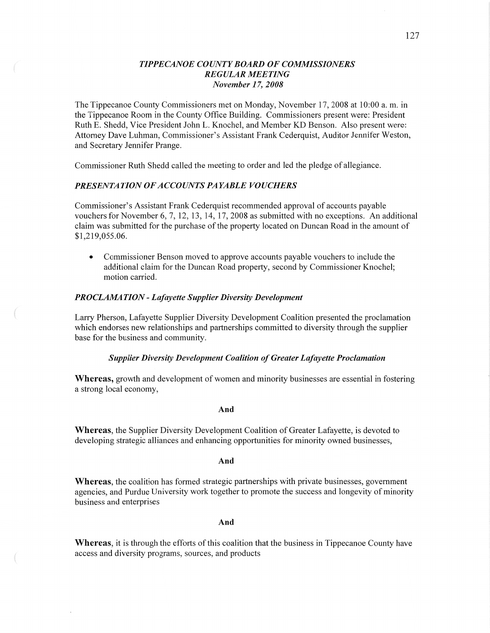## *T IPPE CANOE COUNTY BOARD* OF *COMMISSIONERS REGULAR MEETING November 1* 7, *2008*

The Tippecanoe County Commissioners met on Monday, November 17, 2008 at 10:00 a. m. in the Tippecanoe Room in the County Office Building. Commissioners present were: President Ruth E. Shedd, Vice President John L. Knochel, and Member KD Benson. Also present were: Attorney Dave Luhman, Commissioner's Assistant Frank Cederquist, Auditor Jennifer Weston, and Secretary Jennifer Prange.

Commissioner Ruth Shedd called the meeting to order and led the pledge of allegiance.

# *PRESENTATION* OF *A CCOUNTS* PA *YABLE VOUCHERS*

Commissioner's Assistant Frank Cederquist recommended approval of accounts payable vouchers for November 6, 7, 12, 13, 14, 17, 2008 as submitted with no exceptions. An additional claim was submitted for the purchase of the property located on Duncan Road in the amount of \$1,219,055.06.

**0** Commissioner Benson moved to approve accounts payable vouchers to include the additional claim for the Duncan Road property, second by Commissioner Knochel; motion carried.

#### *PROCLAMATION - Lafayette Supplier Diversity Development*

Larry Pherson, Lafayette Supplier Diversity Development Coalition presented the proclamation which endorses new relationships and partnerships committed to diversity through the supplier base for the business and community.

### *Supplier Diversity Development Coalition* of *Greater Lafayette Proclamation*

Whereas, growth and development of women and minority businesses are essential in fostering a strong local economy,

#### And

**Whereas,** the Supplier Diversity Development Coalition of Greater Lafayette, is devoted to developing strategic alliances and enhancing opportunities for minority owned businesses,

#### And

**Whereas,** the coalition has formed strategic partnerships with private businesses, govemment agencies, and Purdue University work together to promote the success and longevity of minority business and enterprises

#### And

Whereas, it is through the efforts of this coalition that the business in Tippecanoe County have access and diversity programs, sources, and products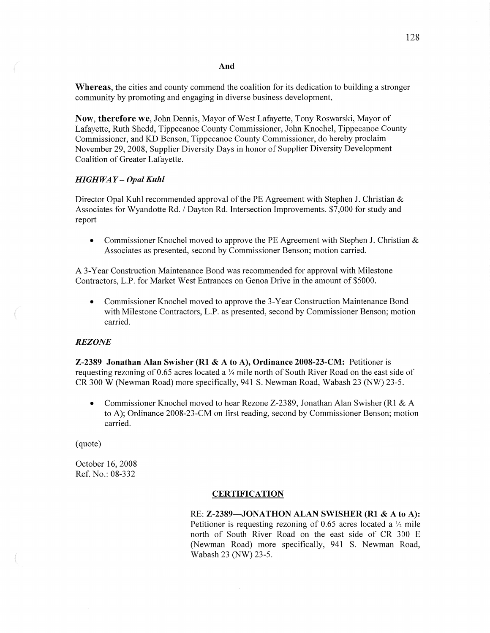#### And

**Whereas,** the cities and county commend the coalition for its dedication to building a stronger community by promoting and engaging in diverse business development,

**Now, therefore** we, John Dennis, Mayor of West Lafayette, Tony Roswarski, Mayor of Lafayette, Ruth Shedd, Tippecanoe County Commissioner, John Knochel, Tippecanoe County Commissioner, and KD Benson, Tippecanoe County Commissioner, do hereby proclaim November 29, 2008, Supplier Diversity Days in honor of Supplier Diversity Development Coalition of Greater Lafayette.

#### *HIGHWAY* **—** *Opal Kuhl*

Director Opal Kuhl recommended approval of the PE Agreement with Stephen J. Christian & Associates for Wyandotte Rd. */* Dayton Rd. Intersection Improvements. \$7,000 for study and report

**0** Commissioner Knochel moved to approve the PE Agreement with Stephen J. Christian & Associates as presented, second by Commissioner Benson; motion carried.

A 3-Year Constmction Maintenance Bond was recommended for approval with Milestone Contractors, L.P. for Market West Entrances on Genoa Drive in the amount of \$5000.

**0** Commissioner Knochel moved to approve the 3—Year Constmction Maintenance Bond with Milestone Contractors, L.P. as presented, second by Commissioner Benson; motion carried.

### *REZONE*

*A* "my

**Z-2389 Jonathan Alan** Swisher (R1 & **A** to A), **Ordinance 2008-23-CM:** Petitioner is requesting rezoning of 0.65 acres located a  $\frac{1}{4}$  mile north of South River Road on the east side of CR 300 **W** (Newman Road) more specifically, 941 S. Newman Road, Wabash 23 (NW) 23-5.

**0** Commissioner Knochel moved to hear Rezone Z-23 89, Jonathan Alan Swisher (R1 & **A**  to A); Ordinance 2008-23-CM on first reading, second by Commissioner Benson; motion carried.

(quote)

October 16, 2008 Ref. No.: 08—332

## **CERTIFICATION**

RE: **Z-2389—JONATHON ALAN SWISHER** (R1 **& A** to A): Petitioner is requesting rezoning of 0.65 acres located a  $\frac{1}{2}$  mile north of South River Road on the east side of CR 300 E (Newman Road) more specifically, 941 S. Newman Road, Wabash 23 (NW) 23-5.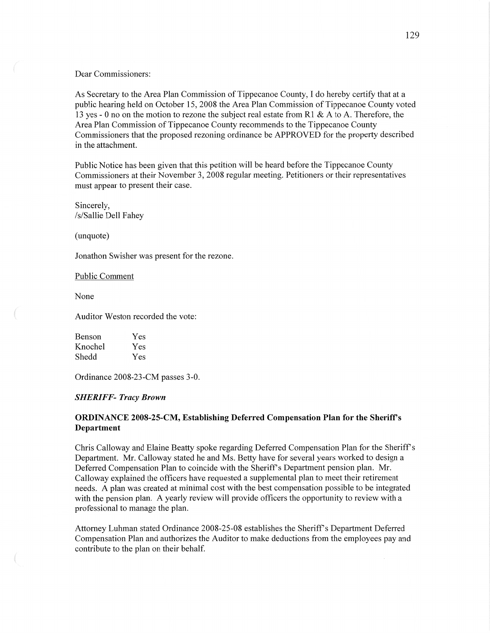#### Dear Commissioners:

As Secretary to the Area Plan Commission of Tippecanoe County, **I** do hereby certify that at **a**  public hearing held on October 15 *,* 2008 the Area Plan Commission of Tippecanoe County voted 13 yes *-* **0** no on the motion to rezone the subject real estate from R1 & **A** to A. Therefore, the Area Plan Commission of Tippecanoe County recommends to the Tippecanoe County Commissioners that the proposed rezoning ordinance be APPROVED for the property described in the attachment.

Public Notice has been given that this petition will be heard before the Tippecanoe County Commissioners at their November 3, 2008 regular meeting. Petitioners or their representatives must appear to present their case.

Sincerely, /s/ Sallie Dell Fahey

(unquote)

Jonathon Swisher was present for the rezone.

Public Comment

None

 $\overline{C}$ 

Auditor Weston recorded the vote:

| Benson  | Yes |
|---------|-----|
| Knochel | Yes |
| Shedd   | Yes |

Ordinance 2008-23-CM passes 3-0.

#### *SHERIFF— Tracy Brown*

# **ORDINANCE 2008-25—CM, Establishing Deferred Compensation Plan** for the **Sheriff's Department**

Chris Calloway and Elaine Beatty spoke regarding Deferred Compensation Plan for the Sheriff' *<sup>5</sup>* Department. Mr. Calloway stated he and Ms. Betty have for several years worked to design a Deferred Compensation Plan to coincide with the Sheriff's Department pension plan. Mr. Calloway explained the officers have requested a supplemental plan to meet their retirement needs. A plan was created at minimal cost with the best compensation possible to be integrated with the pension plan. A yearly review will provide officers the opportunity to review with a professional to manage the plan.

Attorney Luhman stated Ordinance 2008-25-08 establishes the Sheriff's Department Deferred Compensation Plan and authorizes the Auditor to **make** deductions from the employees pay and contribute to the plan on their behalf.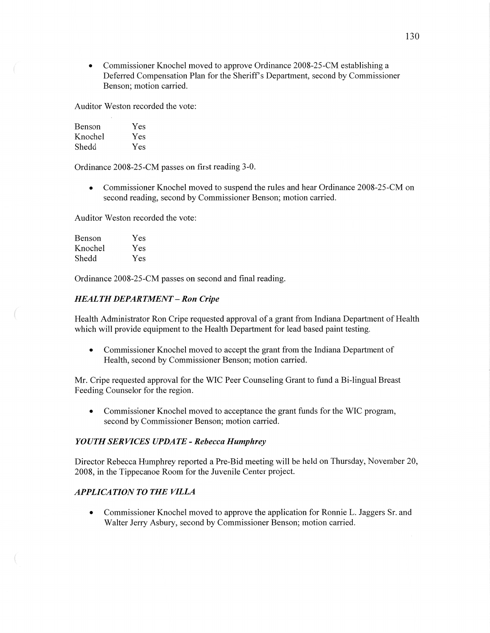**0** Commissioner Knochel moved to approve Ordinance 2008-25-CM establishing a Deferred Compensation Plan for the Sheriff's Department, second by Commissioner Benson; motion carried.

Auditor Weston recorded the vote:

| Benson  | Yes |
|---------|-----|
| Knochel | Yes |
| Shedd   | Yes |

Ordinance 2008-25-CM passes on first reading 3-0.

• Commissioner Knochel moved to suspend the rules and hear Ordinance 2008-25-CM on second reading, second by Commissioner Benson; motion carried.

Auditor Weston recorded the vote:

| Benson  | Yes |
|---------|-----|
| Knochel | Yes |
| Shedd   | Yes |

Ordinance 2008-25-CM passes on second and **final** reading.

### *HEAL* TH *DEPARTMENT* **—** Ron *Cripe*

Health Administrator Ron Cripe requested approval of a grant from **Indiana** Department of Health which will provide equipment to the Health Department for lead based paint testing.

**0** Commissioner Knochel moved to accept the grant from the **Indiana** Department of Health, second by Commissioner Benson; motion carried.

Mr. Cripe requested approval for the WIC Peer Counseling Grant to fund a Bi-lingual Breast Feeding Counselor for the region.

**0** Commissioner Knochel moved to acceptance the grant **funds** for the WIC program, second by Commissioner Benson; motion carried.

### *YOUTH SERVICES UPDATE* **-** *Rebecca Humphrey*

Director Rebecca Humphrey reported a Pre-Bid meeting will be held on Thursday, November 20, 2008, in the Tippecanoe Room for the Juvenile Center project.

# *APPLICATION TO THE VILLA*

• Commissioner Knochel moved to approve the application for Ronnie L. Jaggers Sr. and Walter Jerry Asbury, second by Commissioner Benson; motion carried.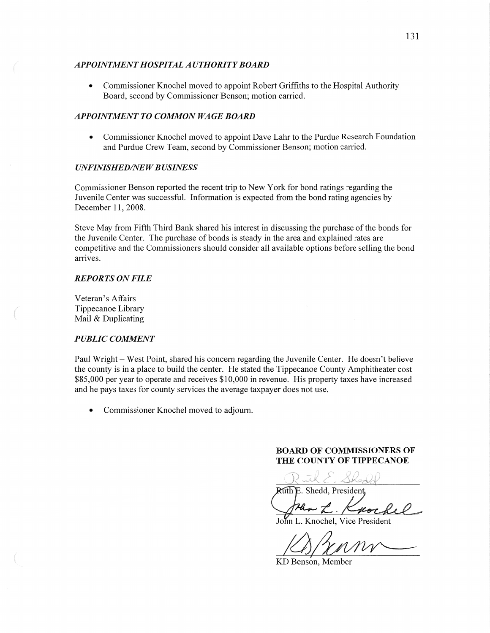### *APPOINTMENT HOSPITAL A UTHORIT Y BOARD*

**0** Commissioner Knochel moved to appoint Robert Griffiths to the Hospital Authority Board, second by Commissioner Benson; motion carried.

### *APPOINTMENT TO COMMON WAGE BOARD*

**0** Commissioner Knochel moved to appoint Dave Lahr to the Purdue Research Foundation and Purdue Crew Team, second by Commissioner Benson; motion carried.

# *UNFINISHED/NEW BUSINESS*

Commissioner Benson reported the recent trip to New York for bond ratings regarding the Juvenile Center was successful. Information is expected from the bond rating agencies by December 11, 2008.

Steve May from Fifth Third Bank shared his interest in discussing the purchase of the bonds for the Juvenile Center. The purchase of bonds is steady in the area and explained rates are competitive and the Commissioners should consider all available options before selling the bond arrives.

### *REPORTS* ON *FILE*

Veteran's Affairs Tippecanoe Library Mail & Duplicating

# *PUBLIC COMMENT*

Paul Wright **—** West Point, shared his concern regarding the Juvenile Center. He doesn't believe the county is in a place to build the center. He stated the Tippecanoe County Amphitheater cost \$85,000 per year to operate and receives \$10,000 in revenue. His property taxes have increased and he pays taxes for county services the average taxpayer does not use.

*0* Commissioner Knochel moved to adjourn.

# **BOARD** OF **COMMISSIONERS** OF **THE COUNTY OF TIPPECANOE**

Ruth E. Shedd, President

John L. Knochel, Vice President

Min L. Knochel, Vice President<br>
Bloomer<br>
D Benson, Member

KD Benson, Member